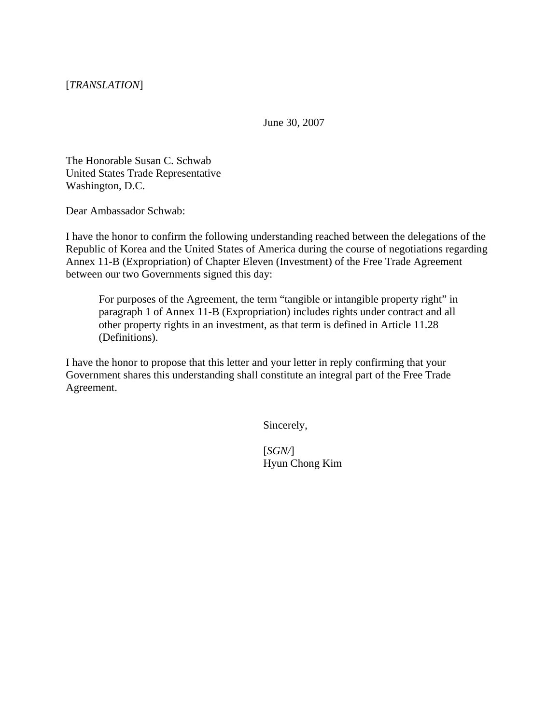June 30, 2007

The Honorable Susan C. Schwab United States Trade Representative Washington, D.C.

Dear Ambassador Schwab:

I have the honor to confirm the following understanding reached between the delegations of the Republic of Korea and the United States of America during the course of negotiations regarding Annex 11-B (Expropriation) of Chapter Eleven (Investment) of the Free Trade Agreement between our two Governments signed this day:

For purposes of the Agreement, the term "tangible or intangible property right" in paragraph 1 of Annex 11-B (Expropriation) includes rights under contract and all other property rights in an investment, as that term is defined in Article 11.28 (Definitions).

I have the honor to propose that this letter and your letter in reply confirming that your Government shares this understanding shall constitute an integral part of the Free Trade Agreement.

Sincerely,

[*SGN/*] Hyun Chong Kim